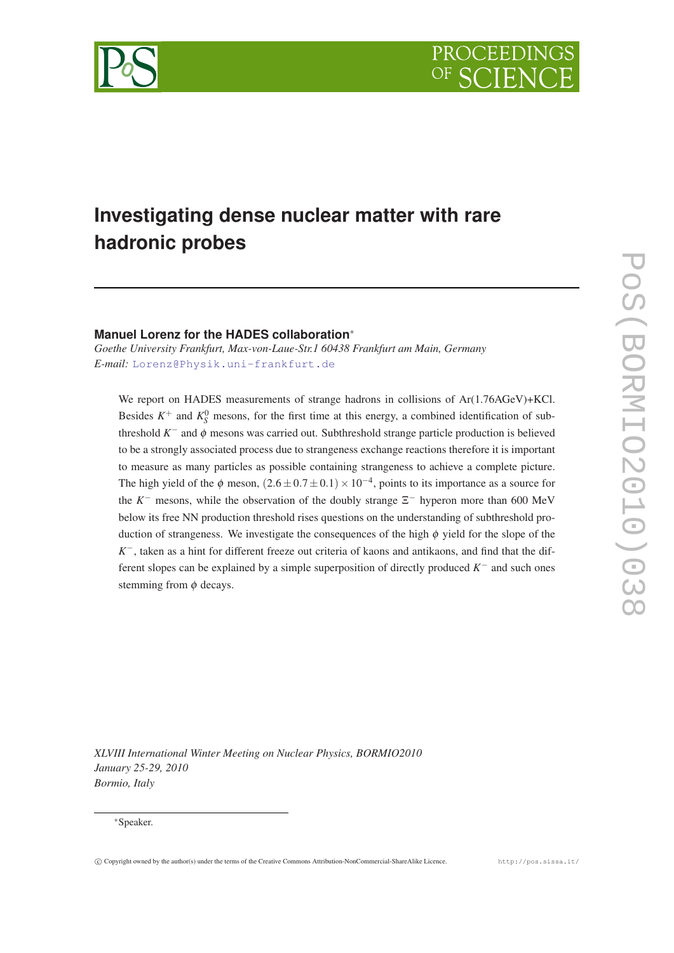

# **Investigating dense nuclear matter with rare hadronic probes**

## **Manuel Lorenz for the HADES collaboration**<sup>∗</sup>

*Goethe University Frankfurt, Max-von-Laue-Str.1 60438 Frankfurt am Main, Germany E-mail:* [Lorenz@Physik.uni-frankfurt.de](mailto:Lorenz@Physik.uni-frankfurt.de)

We report on HADES measurements of strange hadrons in collisions of Ar(1.76AGeV)+KCl. Besides  $K^+$  and  $K^0_S$  mesons, for the first time at this energy, a combined identification of subthreshold *K*<sup>-</sup> and φ mesons was carried out. Subthreshold strange particle production is believed to be a strongly associated process due to strangeness exchange reactions therefore it is important to measure as many particles as possible containing strangeness to achieve a complete picture. The high yield of the  $\phi$  meson,  $(2.6 \pm 0.7 \pm 0.1) \times 10^{-4}$ , points to its importance as a source for the  $K^-$  mesons, while the observation of the doubly strange  $\Sigma^-$  hyperon more than 600 MeV below its free NN production threshold rises questions on the understanding of subthreshold production of strangeness. We investigate the consequences of the high  $\phi$  yield for the slope of the *K*<sup>−</sup>, taken as a hint for different freeze out criteria of kaons and antikaons, and find that the different slopes can be explained by a simple superposition of directly produced  $K^-$  and such ones stemming from  $\phi$  decays.

POS(DINIOZO10)038 PoS(BORMIO2010)038

*XLVIII International Winter Meeting on Nuclear Physics, BORMIO2010 January 25-29, 2010 Bormio, Italy*

#### <sup>∗</sup>Speaker.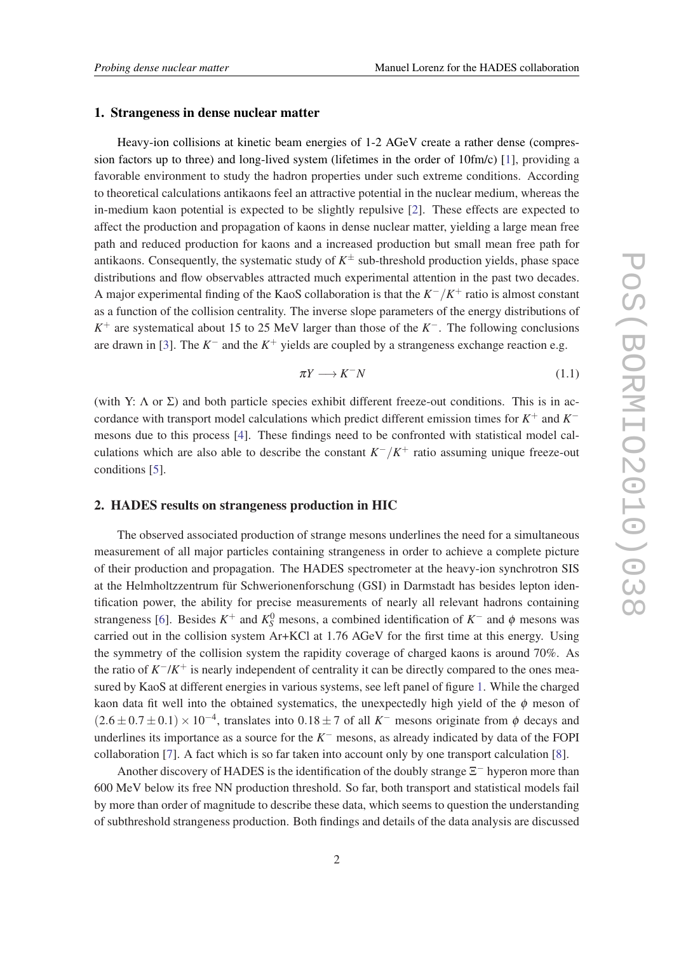#### 1. Strangeness in dense nuclear matter

Heavy-ion collisions at kinetic beam energies of 1-2 AGeV create a rather dense (compression factors up to three) and long-lived system (lifetimes in the order of 10fm/c) [\[1\]](#page-4-0), providing a favorable environment to study the hadron properties under such extreme conditions. According to theoretical calculations antikaons feel an attractive potential in the nuclear medium, whereas the in-medium kaon potential is expected to be slightly repulsive [\[2\]](#page-4-0). These effects are expected to affect the production and propagation of kaons in dense nuclear matter, yielding a large mean free path and reduced production for kaons and a increased production but small mean free path for antikaons. Consequently, the systematic study of *K* <sup>±</sup> sub-threshold production yields, phase space distributions and flow observables attracted much experimental attention in the past two decades. A major experimental finding of the KaoS collaboration is that the *K* <sup>−</sup>/*K* <sup>+</sup> ratio is almost constant as a function of the collision centrality. The inverse slope parameters of the energy distributions of *K*<sup>+</sup> are systematical about 15 to 25 MeV larger than those of the *K*<sup>−</sup>. The following conclusions are drawn in [\[3\]](#page-4-0). The  $K^-$  and the  $K^+$  yields are coupled by a strangeness exchange reaction e.g.

$$
\pi Y \longrightarrow K^- N \tag{1.1}
$$

(with Y:  $\Lambda$  or  $\Sigma$ ) and both particle species exhibit different freeze-out conditions. This is in accordance with transport model calculations which predict different emission times for *K* <sup>+</sup> and *K* − mesons due to this process [\[4\]](#page-4-0). These findings need to be confronted with statistical model calculations which are also able to describe the constant  $K^-/K^+$  ratio assuming unique freeze-out conditions [\[5\]](#page-4-0).

#### 2. HADES results on strangeness production in HIC

The observed associated production of strange mesons underlines the need for a simultaneous measurement of all major particles containing strangeness in order to achieve a complete picture of their production and propagation. The HADES spectrometer at the heavy-ion synchrotron SIS at the Helmholtzzentrum für Schwerionenforschung (GSI) in Darmstadt has besides lepton identification power, the ability for precise measurements of nearly all relevant hadrons containing strangeness [\[6\]](#page-4-0). Besides  $K^+$  and  $K^0_S$  mesons, a combined identification of  $K^-$  and  $\phi$  mesons was carried out in the collision system Ar+KCl at 1.76 AGeV for the first time at this energy. Using the symmetry of the collision system the rapidity coverage of charged kaons is around 70%. As the ratio of *K*<sup>−</sup>/*K*<sup>+</sup> is nearly independent of centrality it can be directly compared to the ones measured by KaoS at different energies in various systems, see left panel of figure [1.](#page-2-0) While the charged kaon data fit well into the obtained systematics, the unexpectedly high yield of the  $\phi$  meson of  $(2.6 \pm 0.7 \pm 0.1) \times 10^{-4}$ , translates into  $0.18 \pm 7$  of all *K*<sup>-</sup> mesons originate from  $\phi$  decays and underlines its importance as a source for the *K* <sup>−</sup> mesons, as already indicated by data of the FOPI collaboration [\[7\]](#page-4-0). A fact which is so far taken into account only by one transport calculation [\[8\]](#page-4-0).

Another discovery of HADES is the identification of the doubly strange  $\Xi^-$  hyperon more than 600 MeV below its free NN production threshold. So far, both transport and statistical models fail by more than order of magnitude to describe these data, which seems to question the understanding of subthreshold strangeness production. Both findings and details of the data analysis are discussed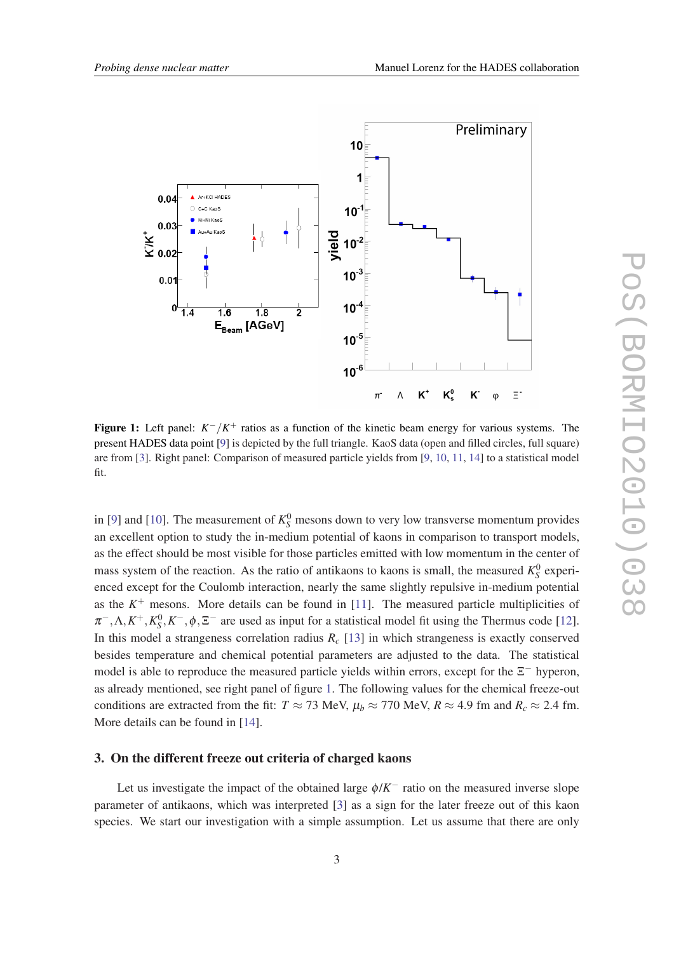<span id="page-2-0"></span>

Figure 1: Left panel:  $K^-/K^+$  ratios as a function of the kinetic beam energy for various systems. The present HADES data point [[9\]](#page-4-0) is depicted by the full triangle. KaoS data (open and filled circles, full square) are from [[3\]](#page-4-0). Right panel: Comparison of measured particle yields from [[9,](#page-4-0) [10,](#page-4-0) [11](#page-4-0), [14](#page-4-0)] to a statistical model fit.

in [\[9\]](#page-4-0) and [\[10](#page-4-0)]. The measurement of  $K_S^0$  mesons down to very low transverse momentum provides an excellent option to study the in-medium potential of kaons in comparison to transport models, as the effect should be most visible for those particles emitted with low momentum in the center of mass system of the reaction. As the ratio of antikaons to kaons is small, the measured  $K_S^0$  experienced except for the Coulomb interaction, nearly the same slightly repulsive in-medium potential as the  $K^+$  mesons. More details can be found in [[11\]](#page-4-0). The measured particle multiplicities of  $\pi^{-}, \Lambda, K^{+}, K_{S}^{0}, K^{-}, \phi, \Xi^{-}$  are used as input for a statistical model fit using the Thermus code [[12\]](#page-4-0). In this model a strangeness correlation radius  $R_c$  [[13\]](#page-4-0) in which strangeness is exactly conserved besides temperature and chemical potential parameters are adjusted to the data. The statistical model is able to reproduce the measured particle yields within errors, except for the  $\Xi^-$  hyperon, as already mentioned, see right panel of figure 1. The following values for the chemical freeze-out conditions are extracted from the fit:  $T \approx 73$  MeV,  $\mu_b \approx 770$  MeV,  $R \approx 4.9$  fm and  $R_c \approx 2.4$  fm. More details can be found in [[14\]](#page-4-0).

#### 3. On the different freeze out criteria of charged kaons

Let us investigate the impact of the obtained large  $\phi/K^-$  ratio on the measured inverse slope parameter of antikaons, which was interpreted [[3](#page-4-0)] as a sign for the later freeze out of this kaon species. We start our investigation with a simple assumption. Let us assume that there are only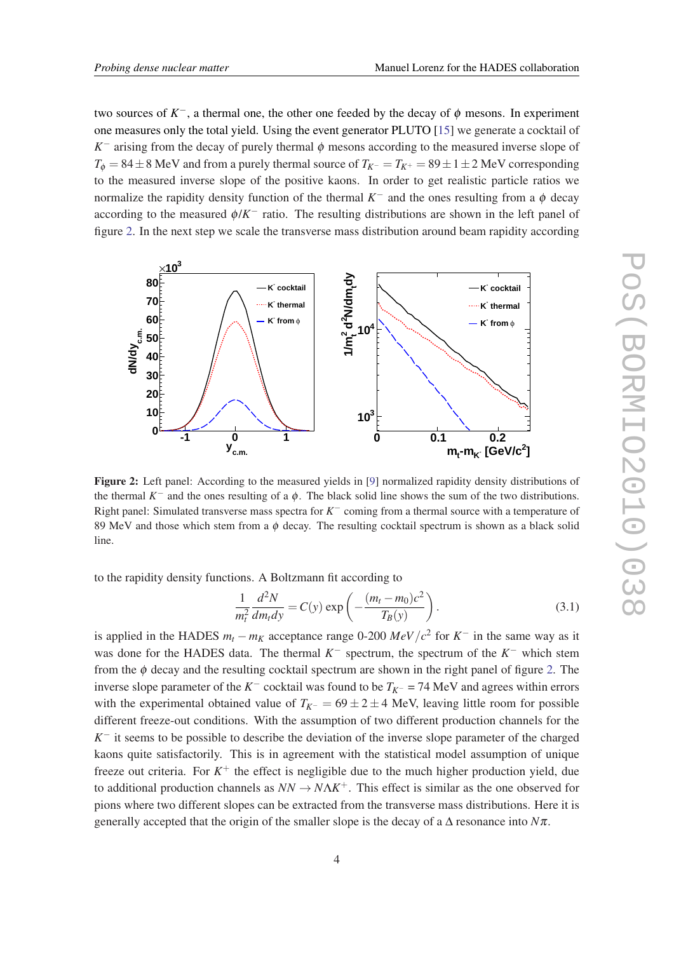two sources of  $K^-$ , a thermal one, the other one feeded by the decay of  $\phi$  mesons. In experiment one measures only the total yield. Using the event generator PLUTO [[15\]](#page-4-0) we generate a cocktail of  $K^-$  arising from the decay of purely thermal  $\phi$  mesons according to the measured inverse slope of  $T_{\phi} = 84 \pm 8$  MeV and from a purely thermal source of  $T_{K^-} = T_{K^+} = 89 \pm 1 \pm 2$  MeV corresponding to the measured inverse slope of the positive kaons. In order to get realistic particle ratios we normalize the rapidity density function of the thermal  $K^-$  and the ones resulting from a  $\phi$  decay according to the measured  $\phi/K^-$  ratio. The resulting distributions are shown in the left panel of figure 2. In the next step we scale the transverse mass distribution around beam rapidity according



Figure 2: Left panel: According to the measured yields in [[9\]](#page-4-0) normalized rapidity density distributions of the thermal  $K^-$  and the ones resulting of a  $\phi$ . The black solid line shows the sum of the two distributions. Right panel: Simulated transverse mass spectra for *K* <sup>−</sup> coming from a thermal source with a temperature of 89 MeV and those which stem from a  $\phi$  decay. The resulting cocktail spectrum is shown as a black solid line.

to the rapidity density functions. A Boltzmann fit according to

$$
\frac{1}{m_t^2} \frac{d^2 N}{dm_t dy} = C(y) \exp\left(-\frac{(m_t - m_0)c^2}{T_B(y)}\right).
$$
 (3.1)

is applied in the HADES  $m_t - m_K$  acceptance range 0-200  $MeV/c^2$  for  $K^-$  in the same way as it was done for the HADES data. The thermal  $K^-$  spectrum, the spectrum of the  $K^-$  which stem from the  $\phi$  decay and the resulting cocktail spectrum are shown in the right panel of figure 2. The inverse slope parameter of the  $K^-$  cocktail was found to be  $T_{K^-}$  = 74 MeV and agrees within errors with the experimental obtained value of  $T_{K^-}$  = 69 ± 2 ± 4 MeV, leaving little room for possible different freeze-out conditions. With the assumption of two different production channels for the *K*<sup>−</sup> it seems to be possible to describe the deviation of the inverse slope parameter of the charged kaons quite satisfactorily. This is in agreement with the statistical model assumption of unique freeze out criteria. For  $K^+$  the effect is negligible due to the much higher production yield, due to additional production channels as  $NN \to N\Lambda K^+$ . This effect is similar as the one observed for pions where two different slopes can be extracted from the transverse mass distributions. Here it is generally accepted that the origin of the smaller slope is the decay of a  $\Delta$  resonance into  $N\pi$ .